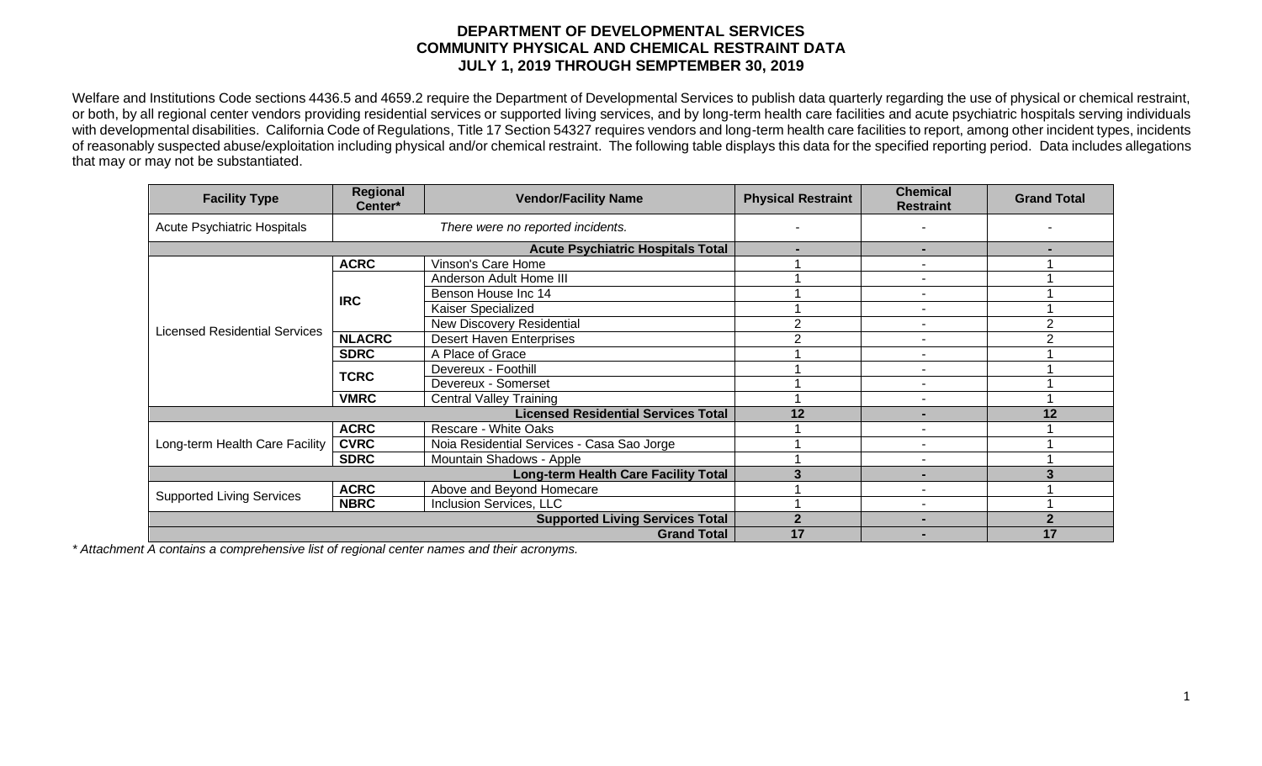## **DEPARTMENT OF DEVELOPMENTAL SERVICES COMMUNITY PHYSICAL AND CHEMICAL RESTRAINT DATA JULY 1, 2019 THROUGH SEMPTEMBER 30, 2019**

Welfare and Institutions Code sections 4436.5 and 4659.2 require the Department of Developmental Services to publish data quarterly regarding the use of physical or chemical restraint, or both, by all regional center vendors providing residential services or supported living services, and by long-term health care facilities and acute psychiatric hospitals serving individuals with developmental disabilities. California Code of Regulations, Title 17 Section 54327 requires vendors and long-term health care facilities to report, among other incident types, incidents of reasonably suspected abuse/exploitation including physical and/or chemical restraint. The following table displays this data for the specified reporting period. Data includes allegations that may or may not be substantiated.

| <b>Facility Type</b>                       | Regional<br>Center*                         | <b>Vendor/Facility Name</b>                | <b>Physical Restraint</b> | <b>Chemical</b><br><b>Restraint</b> | <b>Grand Total</b> |
|--------------------------------------------|---------------------------------------------|--------------------------------------------|---------------------------|-------------------------------------|--------------------|
| <b>Acute Psychiatric Hospitals</b>         | There were no reported incidents.           |                                            |                           |                                     |                    |
|                                            | <b>Acute Psychiatric Hospitals Total</b>    |                                            | $\blacksquare$            |                                     |                    |
| <b>Licensed Residential Services</b>       | <b>ACRC</b>                                 | Vinson's Care Home                         |                           |                                     |                    |
|                                            | <b>IRC</b>                                  | Anderson Adult Home III                    |                           |                                     |                    |
|                                            |                                             | Benson House Inc 14                        |                           |                                     |                    |
|                                            |                                             | Kaiser Specialized                         |                           |                                     |                    |
|                                            |                                             | <b>New Discovery Residential</b>           | 2                         |                                     | 2                  |
|                                            | <b>NLACRC</b>                               | <b>Desert Haven Enterprises</b>            | 2                         | $\overline{\phantom{0}}$            | 2                  |
|                                            | <b>SDRC</b>                                 | A Place of Grace                           |                           |                                     |                    |
|                                            | <b>TCRC</b>                                 | Devereux - Foothill                        |                           |                                     |                    |
|                                            |                                             | Devereux - Somerset                        |                           |                                     |                    |
|                                            | <b>VMRC</b>                                 | <b>Central Valley Training</b>             |                           |                                     |                    |
| <b>Licensed Residential Services Total</b> |                                             |                                            | 12                        | $\blacksquare$                      | 12                 |
| Long-term Health Care Facility             | <b>ACRC</b>                                 | Rescare - White Oaks                       |                           |                                     |                    |
|                                            | <b>CVRC</b>                                 | Noia Residential Services - Casa Sao Jorge |                           | $\overline{\phantom{0}}$            |                    |
|                                            | <b>SDRC</b>                                 | Mountain Shadows - Apple                   |                           |                                     |                    |
|                                            | <b>Long-term Health Care Facility Total</b> | ◠                                          |                           |                                     |                    |
| <b>Supported Living Services</b>           | <b>ACRC</b>                                 | Above and Beyond Homecare                  |                           |                                     |                    |
|                                            | <b>NBRC</b>                                 | Inclusion Services, LLC                    |                           |                                     |                    |
|                                            | <b>Supported Living Services Total</b>      | $\mathbf{2}$                               | $\overline{\phantom{0}}$  | $\overline{2}$                      |                    |
|                                            |                                             | <b>Grand Total</b>                         | 17                        |                                     | 17                 |

*\* Attachment A contains a comprehensive list of regional center names and their acronyms.*